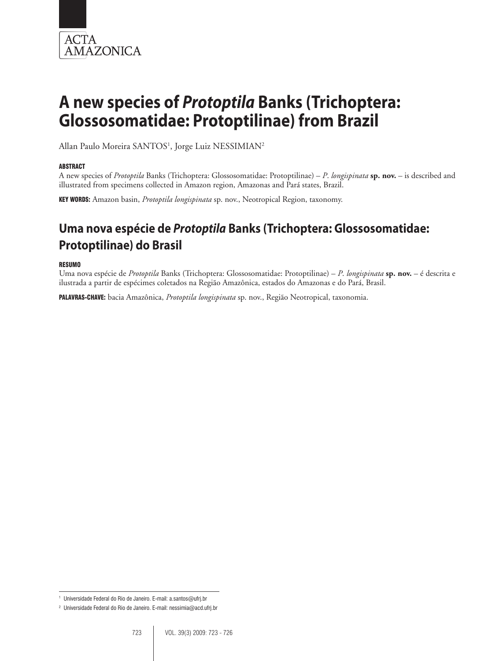

# **A new species of** *Protoptila* **Banks (Trichoptera: Glossosomatidae: Protoptilinae) from Brazil**

Allan Paulo Moreira SANTOS<sup>1</sup>, Jorge Luiz NESSIMIAN<sup>2</sup>

### **ABSTRACT**

A new species of *Protoptila* Banks (Trichoptera: Glossosomatidae: Protoptilinae) – *P*. *longispinata* **sp. nov.** – is described and illustrated from specimens collected in Amazon region, Amazonas and Pará states, Brazil.

Key words: Amazon basin, *Protoptila longispinata* sp. nov., Neotropical Region, taxonomy.

# **Uma nova espécie de** *Protoptila* **Banks (Trichoptera: Glossosomatidae: Protoptilinae) do Brasil**

#### Resumo

Uma nova espécie de *Protoptila* Banks (Trichoptera: Glossosomatidae: Protoptilinae) – *P*. *longispinata* **sp. nov.** – é descrita e ilustrada a partir de espécimes coletados na Região Amazônica, estados do Amazonas e do Pará, Brasil.

Palavras-chave: bacia Amazônica, *Protoptila longispinata* sp. nov., Região Neotropical, taxonomia.

<sup>1</sup> Universidade Federal do Rio de Janeiro. E-mail: a.santos@ufrj.br

<sup>2</sup> Universidade Federal do Rio de Janeiro. E-mail: nessimia@acd.ufrj.br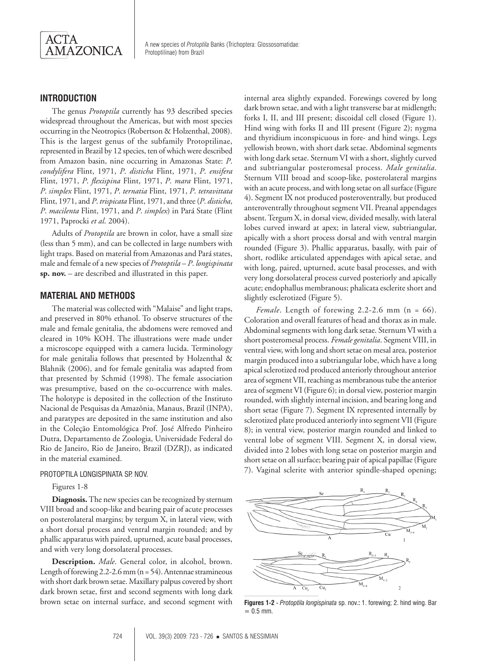

# **Introduction**

The genus *Protoptila* currently has 93 described species widespread throughout the Americas, but with most species occurring in the Neotropics (Robertson & Holzenthal, 2008). This is the largest genus of the subfamily Protoptilinae, represented in Brazil by 12 species, ten of which were described from Amazon basin, nine occurring in Amazonas State: *P*. *condylifera* Flint, 1971, *P*. *disticha* Flint, 1971, *P*. *ensifera* Flint, 1971, *P*. *flexispina* Flint, 1971, *P*. *mara* Flint, 1971, *P*. *simplex* Flint, 1971, *P*. *ternatia* Flint, 1971, *P*. *tetravittata* Flint, 1971, and *P*. *trispicata* Flint, 1971, and three (*P*. *disticha*, *P*. *macilenta* Flint, 1971, and *P*. *simplex*) in Pará State (Flint 1971, Paprocki *et al*. 2004).

Adults of *Protoptila* are brown in color, have a small size (less than 5 mm), and can be collected in large numbers with light traps. Based on material from Amazonas and Pará states, male and female of a new species of *Protoptila* – *P*. *longispinata* **sp. nov.** – are described and illustrated in this paper.

# **Material and methods**

The material was collected with "Malaise" and light traps, and preserved in 80% ethanol. To observe structures of the male and female genitalia, the abdomens were removed and cleared in 10% KOH. The illustrations were made under a microscope equipped with a camera lucida. Terminology for male genitalia follows that presented by Holzenthal & Blahnik (2006), and for female genitalia was adapted from that presented by Schmid (1998). The female association was presumptive, based on the co-occurrence with males. The holotype is deposited in the collection of the Instituto Nacional de Pesquisas da Amazônia, Manaus, Brazil (INPA), and paratypes are deposited in the same institution and also in the Coleção Entomológica Prof. José Alfredo Pinheiro Dutra, Departamento de Zoologia, Universidade Federal do Rio de Janeiro, Rio de Janeiro, Brazil (DZRJ), as indicated in the material examined.

#### PROTOPTILA LONGISPINATA SP. NOV.

Figures 1-8

**Diagnosis.** The new species can be recognized by sternum VIII broad and scoop-like and bearing pair of acute processes on posterolateral margins; by tergum X, in lateral view, with a short dorsal process and ventral margin rounded; and by phallic apparatus with paired, upturned, acute basal processes, and with very long dorsolateral processes.

**Description.** *Male*. General color, in alcohol, brown. Length of forewing 2.2-2.6 mm (n = 54). Antennae stramineous with short dark brown setae. Maxillary palpus covered by short dark brown setae, first and second segments with long dark brown setae on internal surface, and second segment with

internal area slightly expanded. Forewings covered by long dark brown setae, and with a light transverse bar at midlength; forks I, II, and III present; discoidal cell closed (Figure 1). Hind wing with forks II and III present (Figure 2); nygma and thyridium inconspicuous in fore- and hind wings. Legs yellowish brown, with short dark setae. Abdominal segments with long dark setae. Sternum VI with a short, slightly curved and subtriangular posteromesal process. *Male genitalia*. Sternum VIII broad and scoop-like, posterolateral margins with an acute process, and with long setae on all surface (Figure 4). Segment IX not produced posteroventrally, but produced anteroventrally throughout segment VII. Preanal appendages absent. Tergum X, in dorsal view, divided mesally, with lateral lobes curved inward at apex; in lateral view, subtriangular, apically with a short process dorsal and with ventral margin rounded (Figure 3). Phallic apparatus, basally, with pair of short, rodlike articulated appendages with apical setae, and with long, paired, upturned, acute basal processes, and with very long dorsolateral process curved posteriorly and apically acute; endophallus membranous; phalicata esclerite short and slightly esclerotized (Figure 5).

*Female.* Length of forewing 2.2-2.6 mm (n = 66). Coloration and overall features of head and thorax as in male. Abdominal segments with long dark setae. Sternum VI with a short posteromesal process. *Female genitalia*. Segment VIII, in ventral view, with long and short setae on mesal area, posterior margin produced into a subtriangular lobe, which have a long apical sclerotized rod produced anteriorly throughout anterior area of segment VII, reaching as membranous tube the anterior area of segment VI (Figure 6); in dorsal view, posterior margin rounded, with slightly internal incision, and bearing long and short setae (Figure 7). Segment IX represented internally by sclerotized plate produced anteriorly into segment VII (Figure 8); in ventral view, posterior margin rounded and linked to ventral lobe of segment VIII. Segment X, in dorsal view, divided into 2 lobes with long setae on posterior margin and short setae on all surface; bearing pair of apical papillae (Figure 7). Vaginal sclerite with anterior spindle-shaped opening;



**Figures 1-2** - *Protoptila longispinata* sp. nov.**:** 1. forewing; 2. hind wing. Bar  $= 0.5$  mm.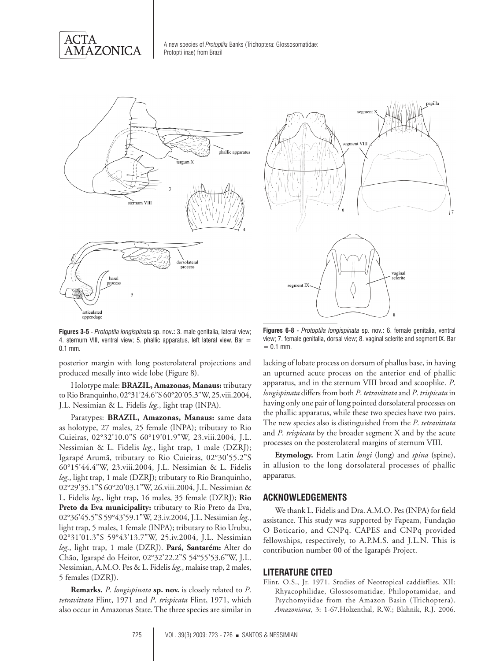



**Figures 3-5** - *Protoptila longispinata* sp. nov**.:** 3. male genitalia, lateral view; 4. sternum VIII, ventral view; 5. phallic apparatus, left lateral view. Bar  $=$ 0.1 mm.

posterior margin with long posterolateral projections and produced mesally into wide lobe (Figure 8).

Holotype male: **Brazil, Amazonas, Manaus:** tributary to Rio Branquinho, 02°31'24.6"S 60°20'05.3"W, 25.viii.2004, J.L. Nessimian & L. Fidelis *leg*., light trap (INPA).

Paratypes: **Brazil, Amazonas, Manaus:** same data as holotype, 27 males, 25 female (INPA); tributary to Rio Cuieiras, 02°32'10.0"S 60°19'01.9"W, 23.viii.2004, J.L. Nessimian & L. Fidelis *leg*., light trap, 1 male (DZRJ); Igarapé Arumã, tributary to Rio Cuieiras, 02°30'55.2"S 60°15'44.4"W, 23.viii.2004, J.L. Nessimian & L. Fidelis *leg*., light trap, 1 male (DZRJ); tributary to Rio Branquinho, 02°29'35.1"S 60°20'03.1"W, 26.viii.2004, J.L. Nessimian & L. Fidelis *leg*., light trap, 16 males, 35 female (DZRJ); **Rio Preto da Eva municipality:** tributary to Rio Preto da Eva, 02°36'45.5"S 59°43'59.1"W, 23.iv.2004, J.L. Nessimian *leg*., light trap, 5 males, 1 female (INPA); tributary to Rio Urubu, 02°31'01.3"S 59°43'13.7"W, 25.iv.2004, J.L. Nessimian *leg*., light trap, 1 male (DZRJ). **Pará, Santarém:** Alter do Chão, Igarapé do Heitor, 02°32'22.2"S 54°55'53.6"W, J.L. Nessimian, A.M.O. Pes & L. Fidelis *leg*., malaise trap, 2 males, 5 females (DZRJ).

**Remarks.** *P*. *longispinata* **sp. nov.** is closely related to *P*. *tetravittata* Flint, 1971 and *P*. *trispicata* Flint, 1971, which also occur in Amazonas State. The three species are similar in



**Figures 6-8** - *Protoptila longispinata* sp. nov.**:** 6. female genitalia, ventral view; 7. female genitalia, dorsal view; 8. vaginal sclerite and segment IX. Bar  $= 0.1$  mm.

lacking of lobate process on dorsum of phallus base, in having an upturned acute process on the anterior end of phallic apparatus, and in the sternum VIII broad and scooplike. *P*. *longispinata* differs from both *P*. *tetravittata* and *P*. *trispicata* in having only one pair of long pointed dorsolateral processes on the phallic apparatus, while these two species have two pairs. The new species also is distinguished from the *P*. *tetravittata* and *P*. *trispicata* by the broader segment X and by the acute processes on the posterolateral margins of sternum VIII.

**Etymology.** From Latin *longi* (long) and *spina* (spine), in allusion to the long dorsolateral processes of phallic apparatus.

### **ACKNOWLEDGEMENTS**

We thank L. Fidelis and Dra. A.M.O. Pes (INPA) for field assistance. This study was supported by Fapeam, Fundação O Boticario, and CNPq. CAPES and CNPq provided fellowships, respectively, to A.P.M.S. and J.L.N. This is contribution number 00 of the Igarapés Project.

# **LITERATURE CITED**

Flint, O.S., Jr. 1971. Studies of Neotropical caddisflies, XII: Rhyacophilidae, Glossosomatidae, Philopotamidae, and Psychomyiidae from the Amazon Basin (Trichoptera). *Amazoniana*, 3: 1-67.Holzenthal, R.W.; Blahnik, R.J. 2006.